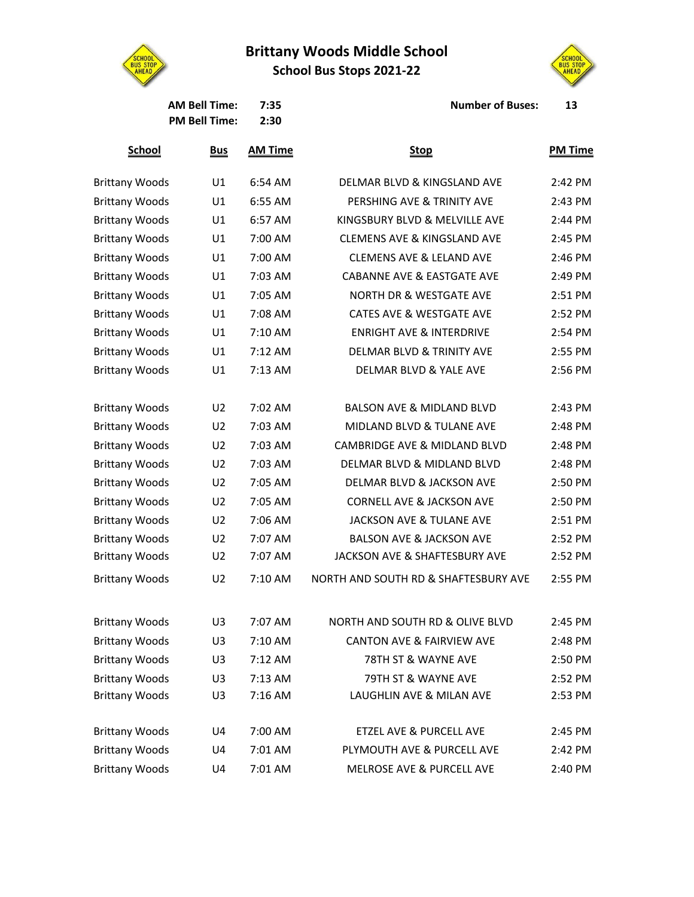**Brittany Woods Middle School**

**School Bus Stops 2021-22**





AM Bell Time: 7:35 **Number of Buses:** 13

| .                    | ---- |
|----------------------|------|
| <b>PM Bell Time:</b> | 2:30 |

| <b>School</b>         | <u>Bus</u>     | <b>AM Time</b> | <b>Stop</b>                            | <b>PM Time</b> |
|-----------------------|----------------|----------------|----------------------------------------|----------------|
| <b>Brittany Woods</b> | U1             | 6:54 AM        | DELMAR BLVD & KINGSLAND AVE            | 2:42 PM        |
| <b>Brittany Woods</b> | U1             | 6:55 AM        | PERSHING AVE & TRINITY AVE             | 2:43 PM        |
| <b>Brittany Woods</b> | U1             | 6:57 AM        | KINGSBURY BLVD & MELVILLE AVE          | 2:44 PM        |
| <b>Brittany Woods</b> | U1             | 7:00 AM        | <b>CLEMENS AVE &amp; KINGSLAND AVE</b> | 2:45 PM        |
| <b>Brittany Woods</b> | U1             | 7:00 AM        | <b>CLEMENS AVE &amp; LELAND AVE</b>    | 2:46 PM        |
| <b>Brittany Woods</b> | U1             | 7:03 AM        | <b>CABANNE AVE &amp; EASTGATE AVE</b>  | 2:49 PM        |
| <b>Brittany Woods</b> | U1             | 7:05 AM        | <b>NORTH DR &amp; WESTGATE AVE</b>     | 2:51 PM        |
| <b>Brittany Woods</b> | U1             | 7:08 AM        | CATES AVE & WESTGATE AVE               | 2:52 PM        |
| <b>Brittany Woods</b> | U1             | 7:10 AM        | <b>ENRIGHT AVE &amp; INTERDRIVE</b>    | 2:54 PM        |
| <b>Brittany Woods</b> | U1             | $7:12$ AM      | <b>DELMAR BLVD &amp; TRINITY AVE</b>   | 2:55 PM        |
| <b>Brittany Woods</b> | U1             | $7:13$ AM      | DELMAR BLVD & YALE AVE                 | 2:56 PM        |
| <b>Brittany Woods</b> | U2             | 7:02 AM        | <b>BALSON AVE &amp; MIDLAND BLVD</b>   | 2:43 PM        |
| <b>Brittany Woods</b> | U <sub>2</sub> | 7:03 AM        | MIDLAND BLVD & TULANE AVE              | 2:48 PM        |
| <b>Brittany Woods</b> | U <sub>2</sub> | 7:03 AM        | CAMBRIDGE AVE & MIDLAND BLVD           | 2:48 PM        |
| <b>Brittany Woods</b> | U <sub>2</sub> | 7:03 AM        | DELMAR BLVD & MIDLAND BLVD             | 2:48 PM        |
| <b>Brittany Woods</b> | U <sub>2</sub> | 7:05 AM        | DELMAR BLVD & JACKSON AVE              | 2:50 PM        |
| <b>Brittany Woods</b> | U <sub>2</sub> | 7:05 AM        | <b>CORNELL AVE &amp; JACKSON AVE</b>   | 2:50 PM        |
| <b>Brittany Woods</b> | U <sub>2</sub> | 7:06 AM        | JACKSON AVE & TULANE AVE               | 2:51 PM        |
| <b>Brittany Woods</b> | U <sub>2</sub> | 7:07 AM        | <b>BALSON AVE &amp; JACKSON AVE</b>    | 2:52 PM        |
| <b>Brittany Woods</b> | U <sub>2</sub> | 7:07 AM        | JACKSON AVE & SHAFTESBURY AVE          | 2:52 PM        |
| <b>Brittany Woods</b> | U <sub>2</sub> | 7:10 AM        | NORTH AND SOUTH RD & SHAFTESBURY AVE   | 2:55 PM        |
| <b>Brittany Woods</b> | U3             | 7:07 AM        | NORTH AND SOUTH RD & OLIVE BLVD        | 2:45 PM        |
| <b>Brittany Woods</b> | U3             | 7:10 AM        | CANTON AVE & FAIRVIEW AVE              | 2:48 PM        |
| <b>Brittany Woods</b> | U3             | 7:12 AM        | 78TH ST & WAYNE AVE                    | 2:50 PM        |
| <b>Brittany Woods</b> | U3             | 7:13 AM        | 79TH ST & WAYNE AVE                    | 2:52 PM        |
| <b>Brittany Woods</b> | U3             | 7:16 AM        | LAUGHLIN AVE & MILAN AVE               | 2:53 PM        |
| <b>Brittany Woods</b> | U4             | 7:00 AM        | ETZEL AVE & PURCELL AVE                | 2:45 PM        |
| <b>Brittany Woods</b> | U4             | 7:01 AM        | PLYMOUTH AVE & PURCELL AVE             | 2:42 PM        |
| <b>Brittany Woods</b> | U4             | 7:01 AM        | MELROSE AVE & PURCELL AVE              | 2:40 PM        |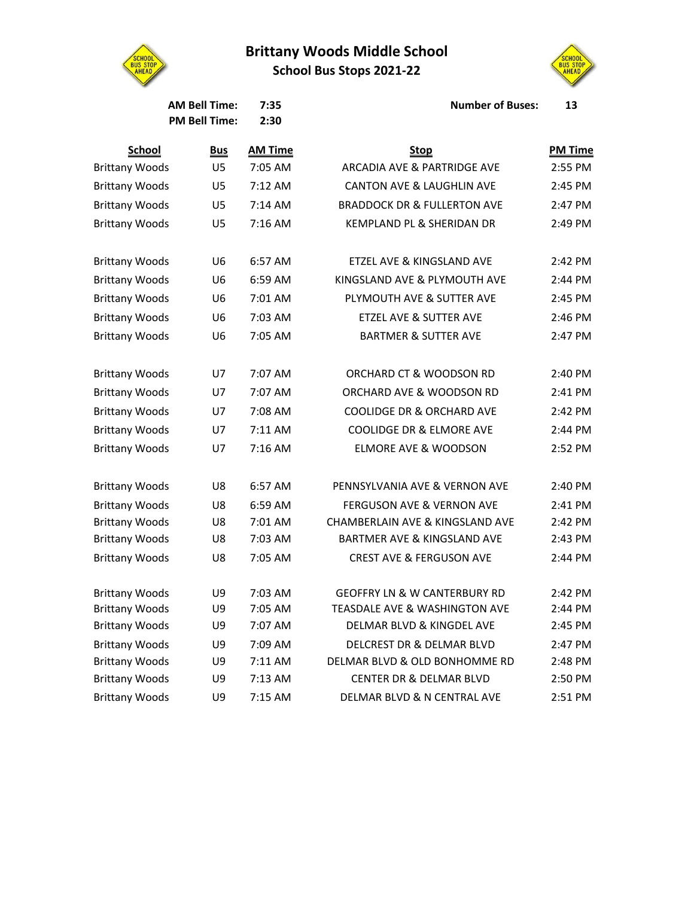## **Brittany Woods Middle School**







**<u>PM Time</u>** 

**AM Bell Time: 7:35 Number of Buses: 13**

|                       | <b>PM Bell Time:</b> | 2:30           |                                         |                |
|-----------------------|----------------------|----------------|-----------------------------------------|----------------|
| <b>School</b>         | <b>Bus</b>           | <b>AM Time</b> | <b>Stop</b>                             | <b>PM Time</b> |
| <b>Brittany Woods</b> | U <sub>5</sub>       | 7:05 AM        | <b>ARCADIA AVE &amp; PARTRIDGE AVE</b>  | 2:55 PM        |
| <b>Brittany Woods</b> | U5                   | 7:12 AM        | <b>CANTON AVE &amp; LAUGHLIN AVE</b>    | 2:45 PM        |
| <b>Brittany Woods</b> | U <sub>5</sub>       | $7:14$ AM      | <b>BRADDOCK DR &amp; FULLERTON AVE</b>  | 2:47 PM        |
| <b>Brittany Woods</b> | U5                   | $7:16$ AM      | KEMPLAND PL & SHERIDAN DR               | 2:49 PM        |
| <b>Brittany Woods</b> | U6                   | 6:57 AM        | ETZEL AVE & KINGSLAND AVE               | 2:42 PM        |
| <b>Brittany Woods</b> | U <sub>6</sub>       | 6:59 AM        | KINGSLAND AVE & PLYMOUTH AVE            | 2:44 PM        |
| <b>Brittany Woods</b> | U6                   | 7:01 AM        | PLYMOUTH AVE & SUTTER AVE               | 2:45 PM        |
| <b>Brittany Woods</b> | U <sub>6</sub>       | 7:03 AM        | <b>ETZEL AVE &amp; SUTTER AVE</b>       | 2:46 PM        |
| <b>Brittany Woods</b> | U <sub>6</sub>       | 7:05 AM        | <b>BARTMER &amp; SUTTER AVE</b>         | 2:47 PM        |
| <b>Brittany Woods</b> | U7                   | 7:07 AM        | ORCHARD CT & WOODSON RD                 | 2:40 PM        |
| <b>Brittany Woods</b> | U7                   | 7:07 AM        | ORCHARD AVE & WOODSON RD                | 2:41 PM        |
| <b>Brittany Woods</b> | U7                   | 7:08 AM        | <b>COOLIDGE DR &amp; ORCHARD AVE</b>    | 2:42 PM        |
| <b>Brittany Woods</b> | U7                   | 7:11 AM        | <b>COOLIDGE DR &amp; ELMORE AVE</b>     | 2:44 PM        |
| <b>Brittany Woods</b> | <b>U7</b>            | 7:16 AM        | <b>ELMORE AVE &amp; WOODSON</b>         | 2:52 PM        |
| <b>Brittany Woods</b> | U8                   | 6:57 AM        | PENNSYLVANIA AVE & VERNON AVE           | 2:40 PM        |
| <b>Brittany Woods</b> | U8                   | 6:59 AM        | <b>FERGUSON AVE &amp; VERNON AVE</b>    | 2:41 PM        |
| <b>Brittany Woods</b> | U8                   | 7:01 AM        | CHAMBERLAIN AVE & KINGSLAND AVE         | 2:42 PM        |
| <b>Brittany Woods</b> | U8                   | 7:03 AM        | <b>BARTMER AVE &amp; KINGSLAND AVE</b>  | 2:43 PM        |
| <b>Brittany Woods</b> | U8                   | 7:05 AM        | <b>CREST AVE &amp; FERGUSON AVE</b>     | 2:44 PM        |
| <b>Brittany Woods</b> | U9                   | 7:03 AM        | <b>GEOFFRY LN &amp; W CANTERBURY RD</b> | 2:42 PM        |
| <b>Brittany Woods</b> | U9                   | 7:05 AM        | TEASDALE AVE & WASHINGTON AVE           | 2:44 PM        |
| <b>Brittany Woods</b> | U9                   | 7:07 AM        | DELMAR BLVD & KINGDEL AVE               | 2:45 PM        |
| <b>Brittany Woods</b> | U9                   | 7:09 AM        | DELCREST DR & DELMAR BLVD               | 2:47 PM        |

| <b>Brittany Woods</b> | U6             | 6:57 AM | ETZEL AVE & KINGSLAND AVE               | 2:42 PM |
|-----------------------|----------------|---------|-----------------------------------------|---------|
| <b>Brittany Woods</b> | U <sub>6</sub> | 6:59 AM | KINGSLAND AVE & PLYMOUTH AVE            | 2:44 PM |
| <b>Brittany Woods</b> | U <sub>6</sub> | 7:01 AM | PLYMOUTH AVE & SUTTER AVE               | 2:45 PM |
| <b>Brittany Woods</b> | U <sub>6</sub> | 7:03 AM | ETZEL AVE & SUTTER AVE                  | 2:46 PM |
| <b>Brittany Woods</b> | U <sub>6</sub> | 7:05 AM | <b>BARTMER &amp; SUTTER AVE</b>         | 2:47 PM |
| <b>Brittany Woods</b> | U7             | 7:07 AM | ORCHARD CT & WOODSON RD                 | 2:40 PM |
| <b>Brittany Woods</b> | U7             | 7:07 AM | ORCHARD AVE & WOODSON RD                | 2:41 PM |
| <b>Brittany Woods</b> | U7             | 7:08 AM | <b>COOLIDGE DR &amp; ORCHARD AVE</b>    | 2:42 PM |
| <b>Brittany Woods</b> | U7             | 7:11 AM | <b>COOLIDGE DR &amp; ELMORE AVE</b>     | 2:44 PM |
| <b>Brittany Woods</b> | U7             | 7:16 AM | <b>ELMORE AVE &amp; WOODSON</b>         | 2:52 PM |
| <b>Brittany Woods</b> | U8             | 6:57 AM | PENNSYLVANIA AVE & VERNON AVE           | 2:40 PM |
| <b>Brittany Woods</b> | U8             | 6:59 AM | <b>FERGUSON AVE &amp; VERNON AVE</b>    | 2:41 PM |
| <b>Brittany Woods</b> | U8             | 7:01 AM | CHAMBERLAIN AVE & KINGSLAND AVE         | 2:42 PM |
| <b>Brittany Woods</b> | U8             | 7:03 AM | <b>BARTMER AVE &amp; KINGSLAND AVE</b>  | 2:43 PM |
| <b>Brittany Woods</b> | U8             | 7:05 AM | <b>CREST AVE &amp; FERGUSON AVE</b>     | 2:44 PM |
| <b>Brittany Woods</b> | U9             | 7:03 AM | <b>GEOFFRY LN &amp; W CANTERBURY RD</b> | 2:42 PM |
| <b>Brittany Woods</b> | U9             | 7:05 AM | TEASDALE AVE & WASHINGTON AVE           | 2:44 PM |
| <b>Brittany Woods</b> | U9             | 7:07 AM | DELMAR BLVD & KINGDEL AVE               | 2:45 PM |
| <b>Brittany Woods</b> | U9             | 7:09 AM | DELCREST DR & DELMAR BLVD               | 2:47 PM |
| <b>Brittany Woods</b> | U9             | 7:11 AM | DELMAR BLVD & OLD BONHOMME RD           | 2:48 PM |
| <b>Brittany Woods</b> | U9             | 7:13 AM | CENTER DR & DELMAR BLVD                 | 2:50 PM |
| <b>Brittany Woods</b> | U9             | 7:15 AM | DELMAR BLVD & N CENTRAL AVE             | 2:51 PM |